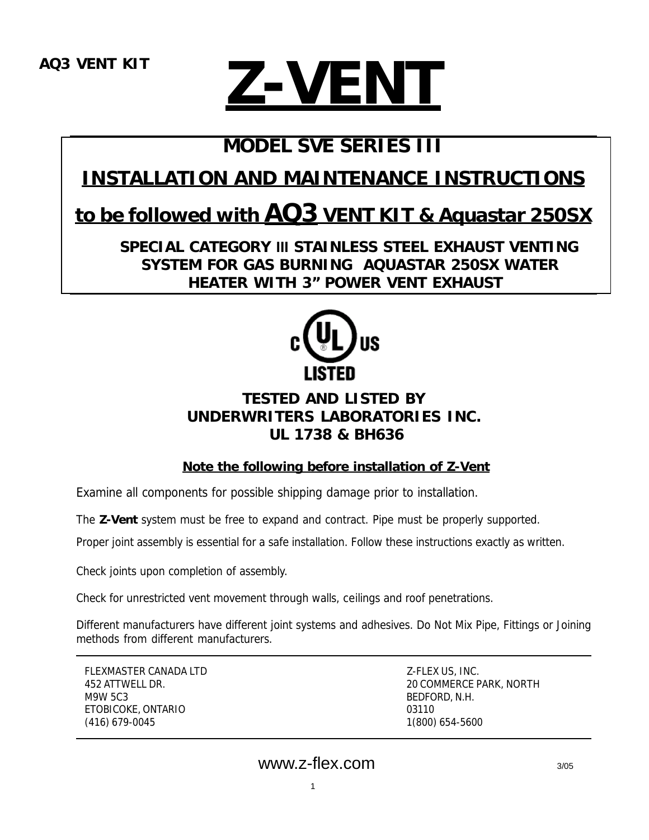# **Z-VENT**

# **MODEL SVE SERIES III**

# **INSTALLATION AND MAINTENANCE INSTRUCTIONS**

## **to be followed with AQ3 VENT KIT & Aquastar 250SX**

 **SPECIAL CATEGORY III STAINLESS STEEL EXHAUST VENTING SYSTEM FOR GAS BURNING AQUASTAR 250SX WATER HEATER WITH 3" POWER VENT EXHAUST**



## **TESTED AND LISTED BY UNDERWRITERS LABORATORIES INC. UL 1738 & BH636**

**Note the following before installation of Z-Vent**

Examine all components for possible shipping damage prior to installation.

The **Z-Vent** system must be free to expand and contract. Pipe must be properly supported.

Proper joint assembly is essential for a safe installation. Follow these instructions exactly as written.

Check joints upon completion of assembly.

Check for unrestricted vent movement through walls, ceilings and roof penetrations.

Different manufacturers have different joint systems and adhesives. Do Not Mix Pipe, Fittings or Joining methods from different manufacturers.

FLEXMASTER CANADA LTD Z-FLEX US, INC. M9W 5C3 BEDFORD, N.H. ETOBICOKE, ONTARIO 03110 (416) 679-0045 1(800) 654-5600

452 ATTWELL DR. 20 COMMERCE PARK, NORTH

1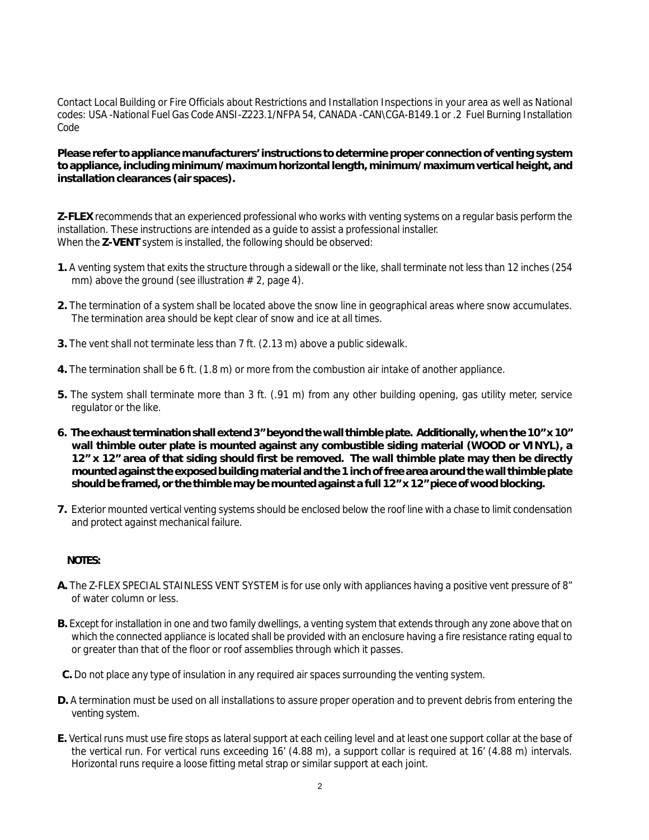Contact Local Building or Fire Officials about Restrictions and Installation Inspections in your area as well as National codes: USA -National Fuel Gas Code ANSI-Z223.1/NFPA 54, CANADA -CAN\CGA-B149.1 or .2 Fuel Burning Installation Code

**Please refer to appliance manufacturers' instructions to determine proper connection of venting system to appliance, including minimum/maximum horizontal length, minimum/maximum vertical height, and installation clearances (air spaces).**

**Z-FLEX** recommends that an experienced professional who works with venting systems on a regular basis perform the installation. These instructions are intended as a guide to assist a professional installer. When the **Z-VENT** system is installed, the following should be observed:

- **1.** A venting system that exits the structure through a sidewall or the like, shall terminate not less than 12 inches (254 mm) above the ground (see illustration  $# 2$ , page 4).
- **2.** The termination of a system shall be located above the snow line in geographical areas where snow accumulates. The termination area should be kept clear of snow and ice at all times.
- **3.** The vent shall not terminate less than 7 ft. (2.13 m) above a public sidewalk.
- **4.** The termination shall be 6 ft. (1.8 m) or more from the combustion air intake of another appliance.
- **5.** The system shall terminate more than 3 ft. (.91 m) from any other building opening, gas utility meter, service regulator or the like.
- **6. The exhaust termination shall extend 3" beyond the wall thimble plate. Additionally, when the 10" x 10" wall thimble outer plate is mounted against any combustible siding material (WOOD or VINYL), a 12" x 12" area of that siding should first be removed. The wall thimble plate may then be directly mounted against the exposed building material and the 1 inch of free area around the wall thimble plate should be framed, or the thimble may be mounted against a full 12" x 12" piece of wood blocking.**
- **7.** Exterior mounted vertical venting systems should be enclosed below the roof line with a chase to limit condensation and protect against mechanical failure.

#### **NOTES:**

- **A.** The Z-FLEX SPECIAL STAINLESS VENT SYSTEM is for use only with appliances having a positive vent pressure of 8" of water column or less.
- **B.** Except for installation in one and two family dwellings, a venting system that extends through any zone above that on which the connected appliance is located shall be provided with an enclosure having a fire resistance rating equal to or greater than that of the floor or roof assemblies through which it passes.
- **C.** Do not place any type of insulation in any required air spaces surrounding the venting system.
- **D.** A termination must be used on all installations to assure proper operation and to prevent debris from entering the venting system.
- **E.** Vertical runs must use fire stops as lateral support at each ceiling level and at least one support collar at the base of the vertical run. For vertical runs exceeding 16' (4.88 m), a support collar is required at 16' (4.88 m) intervals. Horizontal runs require a loose fitting metal strap or similar support at each joint.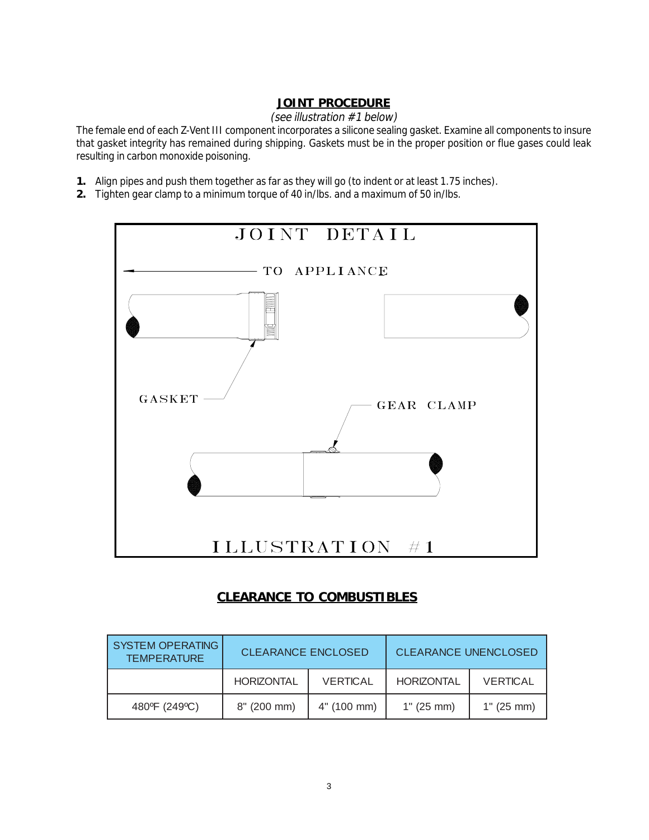#### **JOINT PROCEDURE**

#### (see illustration #1 below)

The female end of each Z-Vent III component incorporates a silicone sealing gasket. Examine all components to insure that gasket integrity has remained during shipping. Gaskets must be in the proper position or flue gases could leak resulting in carbon monoxide poisoning.

- **1.** Align pipes and push them together as far as they will go (to indent or at least 1.75 inches).
- **2.** Tighten gear clamp to a minimum torque of 40 in/lbs. and a maximum of 50 in/lbs.



#### **CLEARANCE TO COMBUSTIBLES**

| <b>SYSTEM OPERATING</b><br><b>TEMPERATURE</b> | <b>CLEARANCE ENCLOSED</b> |                 | <b>CLEARANCE UNENCLOSED</b> |                 |
|-----------------------------------------------|---------------------------|-----------------|-----------------------------|-----------------|
|                                               | <b>HORIZONTAL</b>         | <b>VERTICAL</b> | <b>HORIZONTAL</b>           | <b>VERTICAL</b> |
| 480°F (249°C)                                 | 8" (200 mm)               | 4" (100 mm)     | 1" (25 mm)                  | 1" (25 mm)      |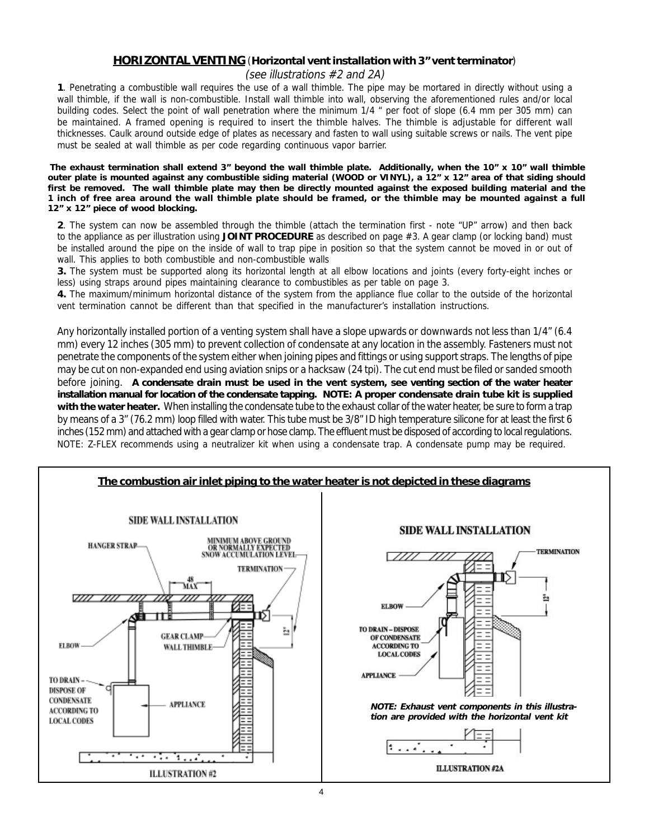## **HORIZONTAL VENTING** (**Horizontal vent installation with 3" vent terminator**)

(see illustrations #2 and 2A)

**1**. Penetrating a combustible wall requires the use of a wall thimble. The pipe may be mortared in directly without using a wall thimble, if the wall is non-combustible. Install wall thimble into wall, observing the aforementioned rules and/or local building codes. Select the point of wall penetration where the minimum 1/4 " per foot of slope (6.4 mm per 305 mm) can be maintained. A framed opening is required to insert the thimble halves. The thimble is adjustable for different wall thicknesses. Caulk around outside edge of plates as necessary and fasten to wall using suitable screws or nails. The vent pipe must be sealed at wall thimble as per code regarding continuous vapor barrier.

 **The exhaust termination shall extend 3" beyond the wall thimble plate. Additionally, when the 10" x 10" wall thimble outer plate is mounted against any combustible siding material (WOOD or VINYL), a 12" x 12" area of that siding should first be removed. The wall thimble plate may then be directly mounted against the exposed building material and the 1 inch of free area around the wall thimble plate should be framed, or the thimble may be mounted against a full 12" x 12" piece of wood blocking.**

**2**. The system can now be assembled through the thimble (attach the termination first - note "UP" arrow) and then back to the appliance as per illustration using **JOINT PROCEDURE** as described on page #3. A gear clamp (or locking band) must be installed around the pipe on the inside of wall to trap pipe in position so that the system cannot be moved in or out of wall. This applies to both combustible and non-combustible walls

**3.** The system must be supported along its horizontal length at all elbow locations and joints (every forty-eight inches or less) using straps around pipes maintaining clearance to combustibles as per table on page 3.

**4.** The maximum/minimum horizontal distance of the system from the appliance flue collar to the outside of the horizontal vent termination cannot be different than that specified in the manufacturer's installation instructions.

Any horizontally installed portion of a venting system shall have a slope upwards or downwards not less than 1/4" (6.4 mm) every 12 inches (305 mm) to prevent collection of condensate at any location in the assembly. Fasteners must not penetrate the components of the system either when joining pipes and fittings or using support straps. The lengths of pipe may be cut on non-expanded end using aviation snips or a hacksaw (24 tpi). The cut end must be filed or sanded smooth before joining. **A condensate drain must be used in the vent system, see venting section of the water heater installation manual for location of the condensate tapping. NOTE: A proper condensate drain tube kit is supplied with the water heater.** When installing the condensate tube to the exhaust collar of the water heater, be sure to form a trap by means of a 3" (76.2 mm) loop filled with water. This tube must be 3/8" ID high temperature silicone for at least the first 6 inches (152 mm) and attached with a gear clamp or hose clamp. The effluent must be disposed of according to local regulations. NOTE: Z-FLEX recommends using a neutralizer kit when using a condensate trap. A condensate pump may be required.

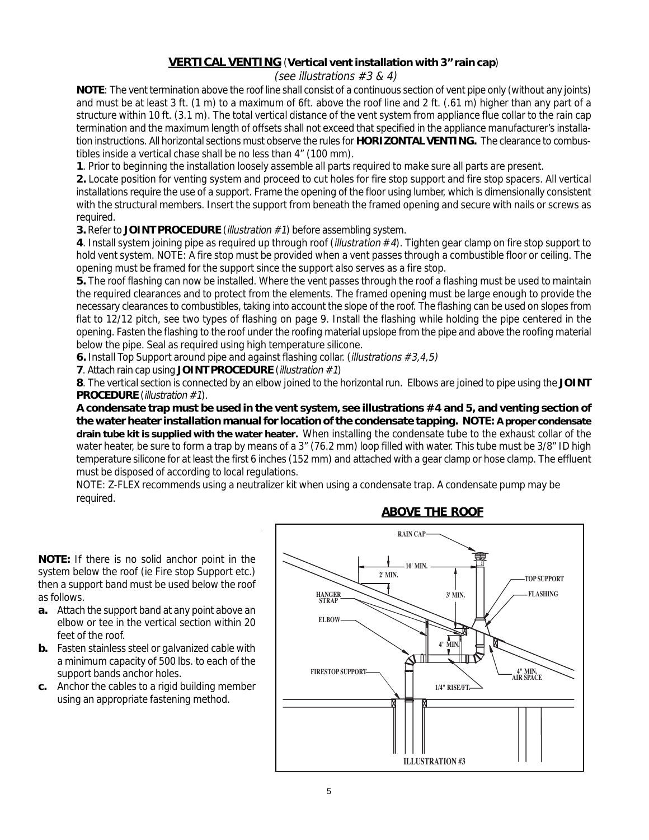#### **VERTICAL VENTING** (**Vertical vent installation with 3" rain cap**)

#### (see illustrations #3 & 4)

**NOTE**: The vent termination above the roof line shall consist of a continuous section of vent pipe only (without any joints) and must be at least 3 ft. (1 m) to a maximum of 6ft. above the roof line and 2 ft. (.61 m) higher than any part of a structure within 10 ft. (3.1 m). The total vertical distance of the vent system from appliance flue collar to the rain cap termination and the maximum length of offsets shall not exceed that specified in the appliance manufacturer's installation instructions. All horizontal sections must observe the rules for **HORIZONTAL VENTING.** The clearance to combustibles inside a vertical chase shall be no less than 4" (100 mm).

**1**. Prior to beginning the installation loosely assemble all parts required to make sure all parts are present.

**2.** Locate position for venting system and proceed to cut holes for fire stop support and fire stop spacers. All vertical installations require the use of a support. Frame the opening of the floor using lumber, which is dimensionally consistent with the structural members. Insert the support from beneath the framed opening and secure with nails or screws as required.

**3.** Refer to JOINT PROCEDURE (*illustration* #1) before assembling system.

**4**. Install system joining pipe as required up through roof (illustration #4). Tighten gear clamp on fire stop support to hold vent system. NOTE: A fire stop must be provided when a vent passes through a combustible floor or ceiling. The opening must be framed for the support since the support also serves as a fire stop.

**5.** The roof flashing can now be installed. Where the vent passes through the roof a flashing must be used to maintain the required clearances and to protect from the elements. The framed opening must be large enough to provide the necessary clearances to combustibles, taking into account the slope of the roof. The flashing can be used on slopes from flat to 12/12 pitch, see two types of flashing on page 9. Install the flashing while holding the pipe centered in the opening. Fasten the flashing to the roof under the roofing material upslope from the pipe and above the roofing material below the pipe. Seal as required using high temperature silicone.

**6.** Install Top Support around pipe and against flashing collar. (*illustrations* #3,4,5)

**7**. Attach rain cap using **JOINT PROCEDURE** (*illustration* #1)

**8**. The vertical section is connected by an elbow joined to the horizontal run. Elbows are joined to pipe using the **JOINT PROCEDURE** (*illustration* #1).

**A condensate trap must be used in the vent system, see illustrations #4 and 5, and venting section of the water heater installation manual for location of the condensate tapping. NOTE: A proper condensate drain tube kit is supplied with the water heater.** When installing the condensate tube to the exhaust collar of the water heater, be sure to form a trap by means of a 3" (76.2 mm) loop filled with water. This tube must be 3/8" ID high temperature silicone for at least the first 6 inches (152 mm) and attached with a gear clamp or hose clamp. The effluent must be disposed of according to local regulations.

NOTE: Z-FLEX recommends using a neutralizer kit when using a condensate trap. A condensate pump may be required.

**NOTE:** If there is no solid anchor point in the system below the roof (ie Fire stop Support etc.) then a support band must be used below the roof as follows.

- **a.** Attach the support band at any point above an elbow or tee in the vertical section within 20 feet of the roof.
- **b.** Fasten stainless steel or galvanized cable with a minimum capacity of 500 lbs. to each of the support bands anchor holes.
- **c.** Anchor the cables to a rigid building member using an appropriate fastening method.



#### **ABOVE THE ROOF**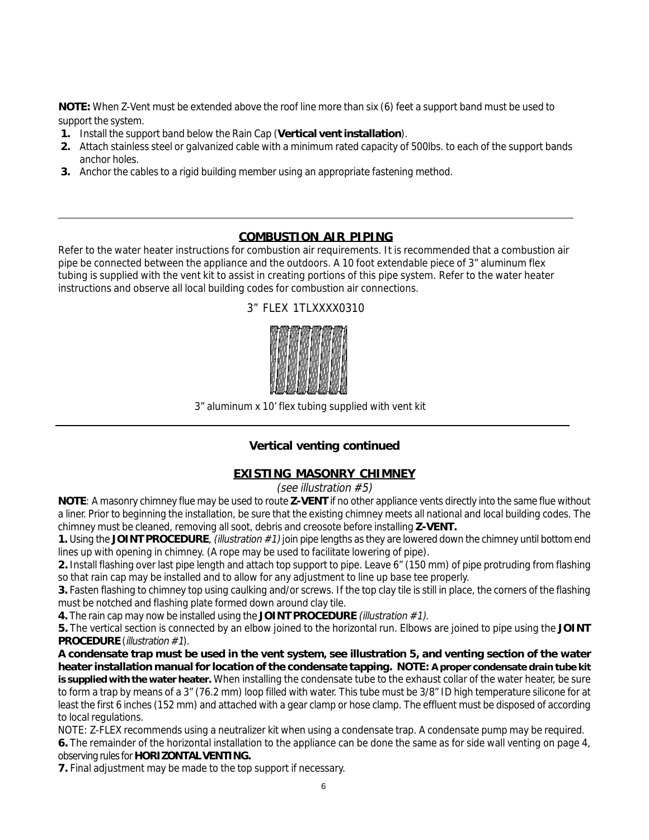**NOTE:** When Z-Vent must be extended above the roof line more than six (6) feet a support band must be used to support the system.

- **1.** Install the support band below the Rain Cap (**Vertical vent installation**).
- **2.** Attach stainless steel or galvanized cable with a minimum rated capacity of 500lbs. to each of the support bands anchor holes.
- **3.** Anchor the cables to a rigid building member using an appropriate fastening method.

#### **COMBUSTION AIR PIPING**

Refer to the water heater instructions for combustion air requirements. It is recommended that a combustion air pipe be connected between the appliance and the outdoors. A 10 foot extendable piece of 3" aluminum flex tubing is supplied with the vent kit to assist in creating portions of this pipe system. Refer to the water heater instructions and observe all local building codes for combustion air connections.



3" FLEX 1TLXXXX0310

3" aluminum x 10' flex tubing supplied with vent kit

#### **Vertical venting continued**

#### **EXISTING MASONRY CHIMNEY**

#### (see illustration #5)

**NOTE**: A masonry chimney flue may be used to route **Z-VENT** if no other appliance vents directly into the same flue without a liner. Prior to beginning the installation, be sure that the existing chimney meets all national and local building codes. The chimney must be cleaned, removing all soot, debris and creosote before installing **Z-VENT.**

**1.** Using the JOINT PROCEDURE, (illustration #1) join pipe lengths as they are lowered down the chimney until bottom end lines up with opening in chimney. (A rope may be used to facilitate lowering of pipe).

**2.** Install flashing over last pipe length and attach top support to pipe. Leave 6" (150 mm) of pipe protruding from flashing so that rain cap may be installed and to allow for any adjustment to line up base tee properly.

**3.** Fasten flashing to chimney top using caulking and/or screws. If the top clay tile is still in place, the corners of the flashing must be notched and flashing plate formed down around clay tile.

**4.** The rain cap may now be installed using the **JOINT PROCEDURE** (illustration #1).

**5.** The vertical section is connected by an elbow joined to the horizontal run. Elbows are joined to pipe using the **JOINT PROCEDURE** (*illustration* #1).

**A condensate trap must be used in the vent system, see illustration 5, and venting section of the water heater installation manual for location of the condensate tapping. NOTE: A proper condensate drain tube kit is supplied with the water heater.** When installing the condensate tube to the exhaust collar of the water heater, be sure to form a trap by means of a 3" (76.2 mm) loop filled with water. This tube must be 3/8" ID high temperature silicone for at least the first 6 inches (152 mm) and attached with a gear clamp or hose clamp. The effluent must be disposed of according to local regulations.

NOTE: Z-FLEX recommends using a neutralizer kit when using a condensate trap. A condensate pump may be required.

**6.** The remainder of the horizontal installation to the appliance can be done the same as for side wall venting on page 4, observing rules for **HORIZONTAL VENTING.**

**7.** Final adjustment may be made to the top support if necessary.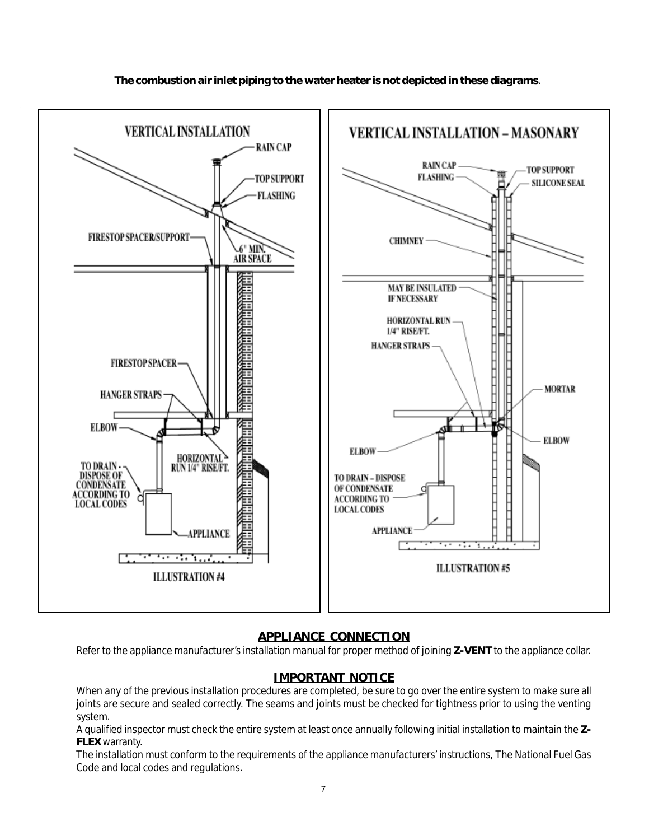

#### **The combustion air inlet piping to the water heater is not depicted in these diagrams**.

#### **APPLIANCE CONNECTION**

Refer to the appliance manufacturer's installation manual for proper method of joining **Z-VENT** to the appliance collar.

#### **IMPORTANT NOTICE**

When any of the previous installation procedures are completed, be sure to go over the entire system to make sure all joints are secure and sealed correctly. The seams and joints must be checked for tightness prior to using the venting system.

A qualified inspector must check the entire system at least once annually following initial installation to maintain the **Z-FLEX** warranty.

The installation must conform to the requirements of the appliance manufacturers' instructions, The National Fuel Gas Code and local codes and regulations.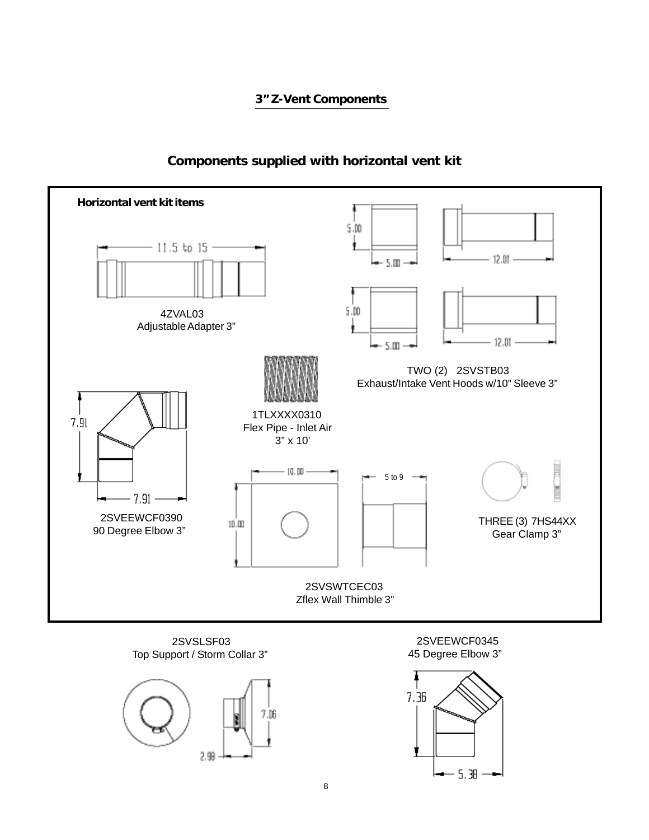#### **3" Z-Vent Components**



#### **Components supplied with horizontal vent kit**

 2SVSLSF03 Top Support / Storm Collar 3"



 2SVEEWCF0345 45 Degree Elbow 3"

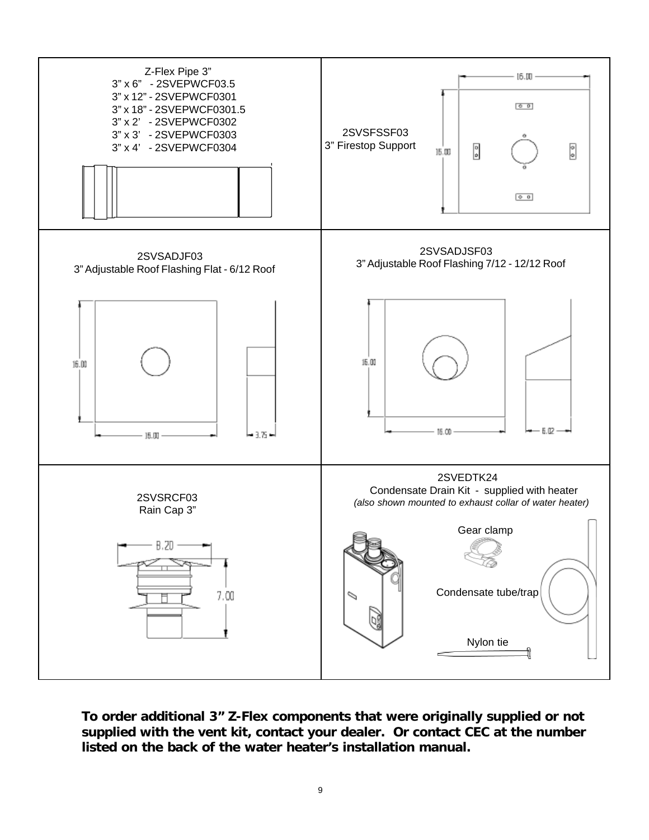

**To order additional 3" Z-Flex components that were originally supplied or not supplied with the vent kit, contact your dealer. Or contact CEC at the number listed on the back of the water heater's installation manual.**